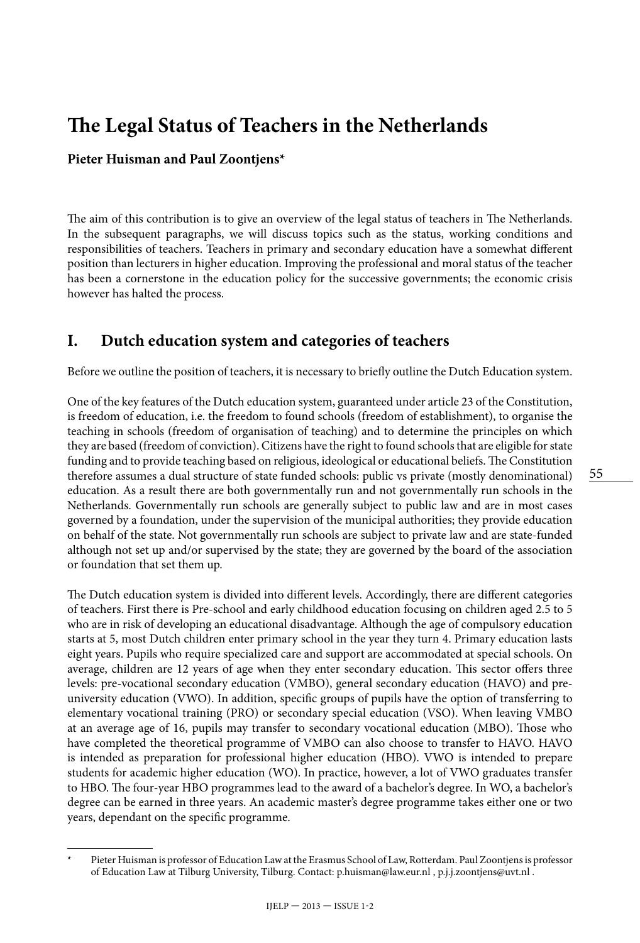# **The Legal Status of Teachers in the Netherlands**

#### **Pieter Huisman and Paul Zoontjens\***

The aim of this contribution is to give an overview of the legal status of teachers in The Netherlands. In the subsequent paragraphs, we will discuss topics such as the status, working conditions and responsibilities of teachers. Teachers in primary and secondary education have a somewhat different position than lecturers in higher education. Improving the professional and moral status of the teacher has been a cornerstone in the education policy for the successive governments; the economic crisis however has halted the process.

# **I. Dutch education system and categories of teachers**

Before we outline the position of teachers, it is necessary to briefly outline the Dutch Education system.

One of the key features of the Dutch education system, guaranteed under article 23 of the Constitution, is freedom of education, i.e. the freedom to found schools (freedom of establishment), to organise the teaching in schools (freedom of organisation of teaching) and to determine the principles on which they are based (freedom of conviction). Citizens have the right to found schools that are eligible for state funding and to provide teaching based on religious, ideological or educational beliefs. The Constitution therefore assumes a dual structure of state funded schools: public vs private (mostly denominational) education. As a result there are both governmentally run and not governmentally run schools in the Netherlands. Governmentally run schools are generally subject to public law and are in most cases governed by a foundation, under the supervision of the municipal authorities; they provide education on behalf of the state. Not governmentally run schools are subject to private law and are state-funded although not set up and/or supervised by the state; they are governed by the board of the association or foundation that set them up.

The Dutch education system is divided into different levels. Accordingly, there are different categories of teachers. First there is Pre-school and early childhood education focusing on children aged 2.5 to 5 who are in risk of developing an educational disadvantage. Although the age of compulsory education starts at 5, most Dutch children enter primary school in the year they turn 4. Primary education lasts eight years. Pupils who require specialized care and support are accommodated at special schools. On average, children are 12 years of age when they enter secondary education. This sector offers three levels: pre-vocational secondary education (VMBO), general secondary education (HAVO) and preuniversity education (VWO). In addition, specific groups of pupils have the option of transferring to elementary vocational training (PRO) or secondary special education (VSO). When leaving VMBO at an average age of 16, pupils may transfer to secondary vocational education (MBO). Those who have completed the theoretical programme of VMBO can also choose to transfer to HAVO. HAVO is intended as preparation for professional higher education (HBO). VWO is intended to prepare students for academic higher education (WO). In practice, however, a lot of VWO graduates transfer to HBO. The four-year HBO programmes lead to the award of a bachelor's degree. In WO, a bachelor's degree can be earned in three years. An academic master's degree programme takes either one or two years, dependant on the specific programme.

Pieter Huisman is professor of Education Law at the Erasmus School of Law, Rotterdam. Paul Zoontjens is professor of Education Law at Tilburg University, Tilburg. Contact: [p.huisman@law.eur.nl](mailto:p.huisman@law.eur.nl) , [p.j.j.zoontjens@uvt.nl](mailto:p.j.j.zoontjens@uvt.nl) .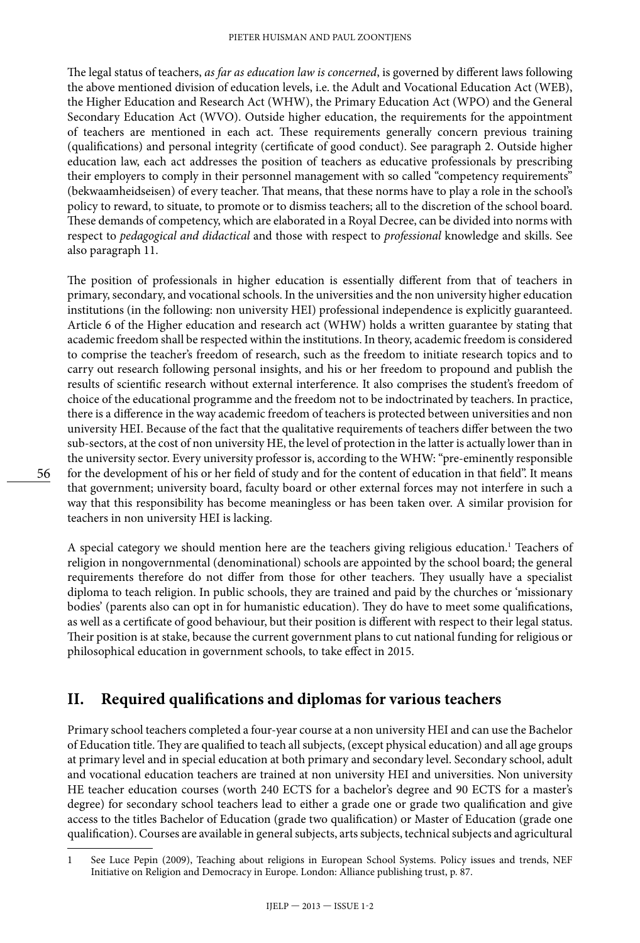The legal status of teachers, *as far as education law is concerned*, is governed by different laws following the above mentioned division of education levels, i.e. the Adult and Vocational Education Act (WEB), the Higher Education and Research Act (WHW), the Primary Education Act (WPO) and the General Secondary Education Act (WVO). Outside higher education, the requirements for the appointment of teachers are mentioned in each act. These requirements generally concern previous training (qualifications) and personal integrity (certificate of good conduct). See paragraph 2. Outside higher education law, each act addresses the position of teachers as educative professionals by prescribing their employers to comply in their personnel management with so called "competency requirements" (bekwaamheidseisen) of every teacher. That means, that these norms have to play a role in the school's policy to reward, to situate, to promote or to dismiss teachers; all to the discretion of the school board. These demands of competency, which are elaborated in a Royal Decree, can be divided into norms with respect to *pedagogical and didactical* and those with respect to *professional* knowledge and skills. See also paragraph 11.

The position of professionals in higher education is essentially different from that of teachers in primary, secondary, and vocational schools. In the universities and the non university higher education institutions (in the following: non university HEI) professional independence is explicitly guaranteed. Article 6 of the Higher education and research act (WHW) holds a written guarantee by stating that academic freedom shall be respected within the institutions. In theory, academic freedom is considered to comprise the teacher's freedom of research, such as the freedom to initiate research topics and to carry out research following personal insights, and his or her freedom to propound and publish the results of scientific research without external interference. It also comprises the student's freedom of choice of the educational programme and the freedom not to be indoctrinated by teachers. In practice, there is a difference in the way academic freedom of teachers is protected between universities and non university HEI. Because of the fact that the qualitative requirements of teachers differ between the two sub-sectors, at the cost of non university HE, the level of protection in the latter is actually lower than in the university sector. Every university professor is, according to the WHW: "pre-eminently responsible for the development of his or her field of study and for the content of education in that field". It means that government; university board, faculty board or other external forces may not interfere in such a way that this responsibility has become meaningless or has been taken over. A similar provision for teachers in non university HEI is lacking.

A special category we should mention here are the teachers giving religious education.<sup>1</sup> Teachers of religion in nongovernmental (denominational) schools are appointed by the school board; the general requirements therefore do not differ from those for other teachers. They usually have a specialist diploma to teach religion. In public schools, they are trained and paid by the churches or 'missionary bodies' (parents also can opt in for humanistic education). They do have to meet some qualifications, as well as a certificate of good behaviour, but their position is different with respect to their legal status. Their position is at stake, because the current government plans to cut national funding for religious or philosophical education in government schools, to take effect in 2015.

## **II. Required qualifications and diplomas for various teachers**

Primary school teachers completed a four-year course at a non university HEI and can use the Bachelor of Education title. They are qualified to teach all subjects, (except physical education) and all age groups at primary level and in special education at both primary and secondary level. Secondary school, adult and vocational education teachers are trained at non university HEI and universities. Non university HE teacher education courses (worth 240 ECTS for a bachelor's degree and 90 ECTS for a master's degree) for secondary school teachers lead to either a grade one or grade two qualification and give access to the titles Bachelor of Education (grade two qualification) or Master of Education (grade one qualification). Courses are available in general subjects, arts subjects, technical subjects and agricultural

<sup>1</sup> See Luce Pepin (2009), Teaching about religions in European School Systems. Policy issues and trends, NEF Initiative on Religion and Democracy in Europe. London: Alliance publishing trust, p. 87.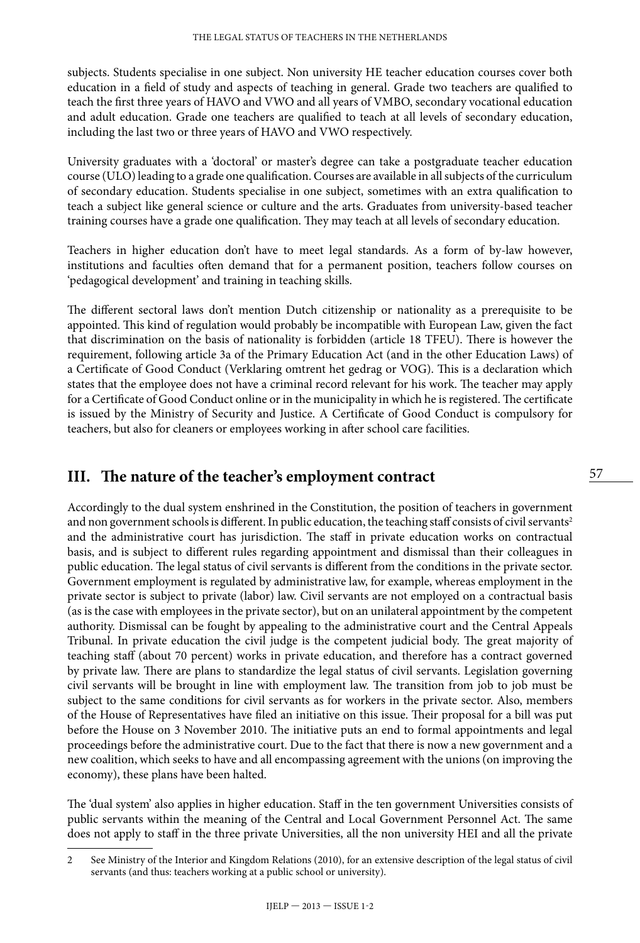subjects. Students specialise in one subject. Non university HE teacher education courses cover both education in a field of study and aspects of teaching in general. Grade two teachers are qualified to teach the first three years of HAVO and VWO and all years of VMBO, secondary vocational education and adult education. Grade one teachers are qualified to teach at all levels of secondary education, including the last two or three years of HAVO and VWO respectively.

University graduates with a 'doctoral' or master's degree can take a postgraduate teacher education course (ULO) leading to a grade one qualification. Courses are available in all subjects of the curriculum of secondary education. Students specialise in one subject, sometimes with an extra qualification to teach a subject like general science or culture and the arts. Graduates from university-based teacher training courses have a grade one qualification. They may teach at all levels of secondary education.

Teachers in higher education don't have to meet legal standards. As a form of by-law however, institutions and faculties often demand that for a permanent position, teachers follow courses on 'pedagogical development' and training in teaching skills.

The different sectoral laws don't mention Dutch citizenship or nationality as a prerequisite to be appointed. This kind of regulation would probably be incompatible with European Law, given the fact that discrimination on the basis of nationality is forbidden (article 18 TFEU). There is however the requirement, following article 3a of the Primary Education Act (and in the other Education Laws) of a Certificate of Good Conduct (Verklaring omtrent het gedrag or VOG). This is a declaration which states that the employee does not have a criminal record relevant for his work. The teacher may apply for a Certificate of Good Conduct online or in the municipality in which he is registered. The certificate is issued by the Ministry of Security and Justice. A Certificate of Good Conduct is compulsory for teachers, but also for cleaners or employees working in after school care facilities.

#### **III. The nature of the teacher's employment contract**

Accordingly to the dual system enshrined in the Constitution, the position of teachers in government and non government schools is different. In public education, the teaching staff consists of civil servants<sup>2</sup> and the administrative court has jurisdiction. The staff in private education works on contractual basis, and is subject to different rules regarding appointment and dismissal than their colleagues in public education. The legal status of civil servants is different from the conditions in the private sector. Government employment is regulated by administrative law, for example, whereas employment in the private sector is subject to private (labor) law. Civil servants are not employed on a contractual basis (as is the case with employees in the private sector), but on an unilateral appointment by the competent authority. Dismissal can be fought by appealing to the administrative court and the Central Appeals Tribunal. In private education the civil judge is the competent judicial body. The great majority of teaching staff (about 70 percent) works in private education, and therefore has a contract governed by private law. There are plans to standardize the legal status of civil servants. Legislation governing civil servants will be brought in line with employment law. The transition from job to job must be subject to the same conditions for civil servants as for workers in the private sector. Also, members of the House of Representatives have filed an initiative on this issue. Their proposal for a bill was put before the House on 3 November 2010. The initiative puts an end to formal appointments and legal proceedings before the administrative court. Due to the fact that there is now a new government and a new coalition, which seeks to have and all encompassing agreement with the unions (on improving the economy), these plans have been halted.

The 'dual system' also applies in higher education. Staff in the ten government Universities consists of public servants within the meaning of the Central and Local Government Personnel Act. The same does not apply to staff in the three private Universities, all the non university HEI and all the private

<sup>2</sup> See Ministry of the Interior and Kingdom Relations (2010), for an extensive description of the legal status of civil servants (and thus: teachers working at a public school or university).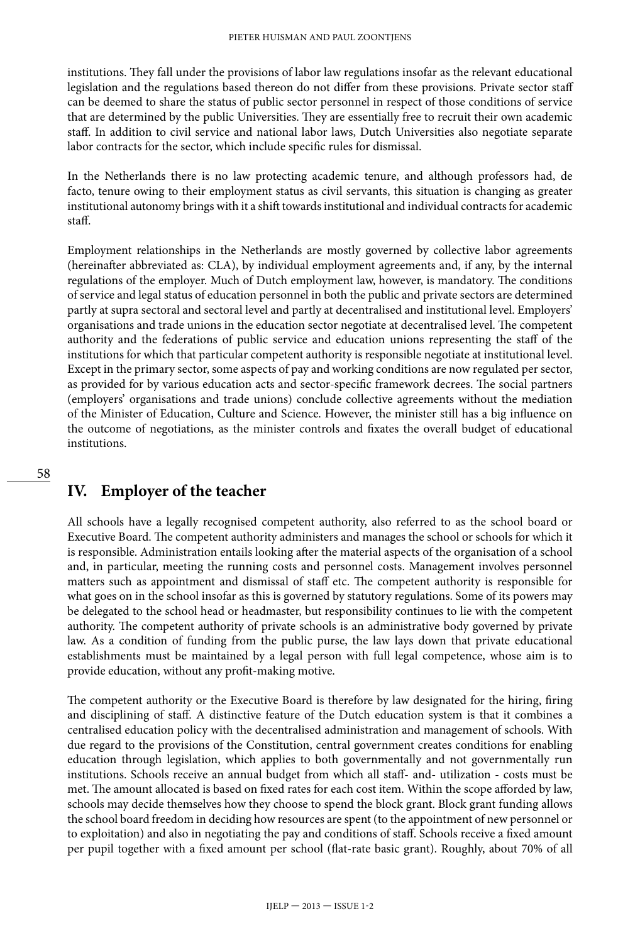institutions. They fall under the provisions of labor law regulations insofar as the relevant educational legislation and the regulations based thereon do not differ from these provisions. Private sector staff can be deemed to share the status of public sector personnel in respect of those conditions of service that are determined by the public Universities. They are essentially free to recruit their own academic staff. In addition to civil service and national labor laws, Dutch Universities also negotiate separate labor contracts for the sector, which include specific rules for dismissal.

In the Netherlands there is no law protecting academic tenure, and although professors had, de facto, tenure owing to their employment status as civil servants, this situation is changing as greater institutional autonomy brings with it a shift towards institutional and individual contracts for academic staff.

Employment relationships in the Netherlands are mostly governed by collective labor agreements (hereinafter abbreviated as: CLA), by individual employment agreements and, if any, by the internal regulations of the employer. Much of Dutch employment law, however, is mandatory. The conditions of service and legal status of education personnel in both the public and private sectors are determined partly at supra sectoral and sectoral level and partly at decentralised and institutional level. Employers' organisations and trade unions in the education sector negotiate at decentralised level. The competent authority and the federations of public service and education unions representing the staff of the institutions for which that particular competent authority is responsible negotiate at institutional level. Except in the primary sector, some aspects of pay and working conditions are now regulated per sector, as provided for by various education acts and sector-specific framework decrees. The social partners (employers' organisations and trade unions) conclude collective agreements without the mediation of the Minister of Education, Culture and Science. However, the minister still has a big influence on the outcome of negotiations, as the minister controls and fixates the overall budget of educational institutions.

# **IV. Employer of the teacher**

All schools have a legally recognised competent authority, also referred to as the school board or Executive Board. The competent authority administers and manages the school or schools for which it is responsible. Administration entails looking after the material aspects of the organisation of a school and, in particular, meeting the running costs and personnel costs. Management involves personnel matters such as appointment and dismissal of staff etc. The competent authority is responsible for what goes on in the school insofar as this is governed by statutory regulations. Some of its powers may be delegated to the school head or headmaster, but responsibility continues to lie with the competent authority. The competent authority of private schools is an administrative body governed by private law. As a condition of funding from the public purse, the law lays down that private educational establishments must be maintained by a legal person with full legal competence, whose aim is to provide education, without any profit-making motive.

The competent authority or the Executive Board is therefore by law designated for the hiring, firing and disciplining of staff. A distinctive feature of the Dutch education system is that it combines a centralised education policy with the decentralised administration and management of schools. With due regard to the provisions of the Constitution, central government creates conditions for enabling education through legislation, which applies to both governmentally and not governmentally run institutions. Schools receive an annual budget from which all staff- and- utilization - costs must be met. The amount allocated is based on fixed rates for each cost item. Within the scope afforded by law, schools may decide themselves how they choose to spend the block grant. Block grant funding allows the school board freedom in deciding how resources are spent (to the appointment of new personnel or to exploitation) and also in negotiating the pay and conditions of staff. Schools receive a fixed amount per pupil together with a fixed amount per school (flat-rate basic grant). Roughly, about 70% of all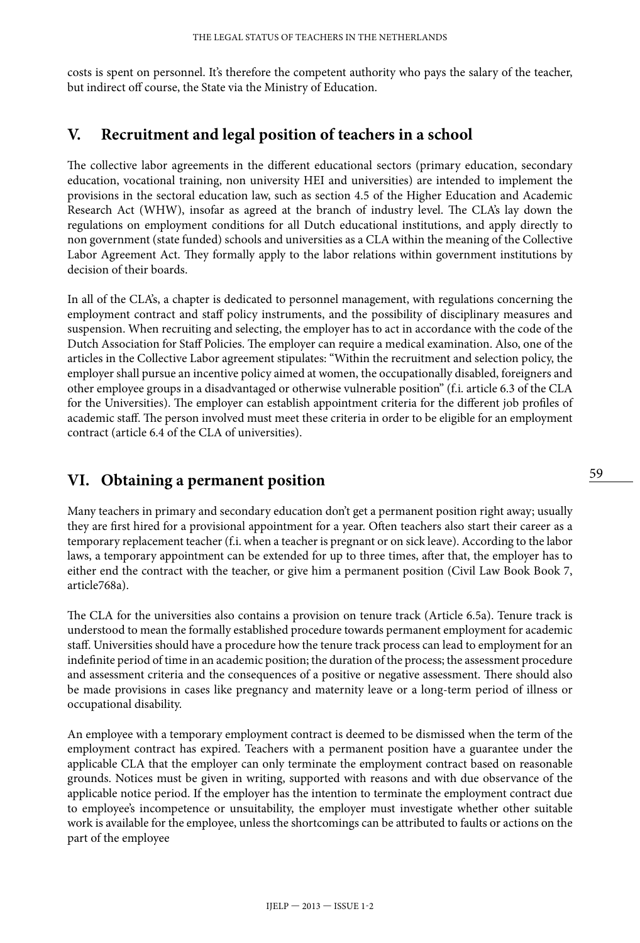costs is spent on personnel. It's therefore the competent authority who pays the salary of the teacher, but indirect off course, the State via the Ministry of Education.

## **V. Recruitment and legal position of teachers in a school**

The collective labor agreements in the different educational sectors (primary education, secondary education, vocational training, non university HEI and universities) are intended to implement the provisions in the sectoral education law, such as section 4.5 of the Higher Education and Academic Research Act (WHW), insofar as agreed at the branch of industry level. The CLA's lay down the regulations on employment conditions for all Dutch educational institutions, and apply directly to non government (state funded) schools and universities as a CLA within the meaning of the Collective Labor Agreement Act. They formally apply to the labor relations within government institutions by decision of their boards.

In all of the CLA's, a chapter is dedicated to personnel management, with regulations concerning the employment contract and staff policy instruments, and the possibility of disciplinary measures and suspension. When recruiting and selecting, the employer has to act in accordance with the code of the Dutch Association for Staff Policies. The employer can require a medical examination. Also, one of the articles in the Collective Labor agreement stipulates: "Within the recruitment and selection policy, the employer shall pursue an incentive policy aimed at women, the occupationally disabled, foreigners and other employee groups in a disadvantaged or otherwise vulnerable position" (f.i. article 6.3 of the CLA for the Universities). The employer can establish appointment criteria for the different job profiles of academic staff. The person involved must meet these criteria in order to be eligible for an employment contract (article 6.4 of the CLA of universities).

# **VI. Obtaining a permanent position**

Many teachers in primary and secondary education don't get a permanent position right away; usually they are first hired for a provisional appointment for a year. Often teachers also start their career as a temporary replacement teacher (f.i. when a teacher is pregnant or on sick leave). According to the labor laws, a temporary appointment can be extended for up to three times, after that, the employer has to either end the contract with the teacher, or give him a permanent position (Civil Law Book Book 7, article768a).

The CLA for the universities also contains a provision on tenure track (Article 6.5a). Tenure track is understood to mean the formally established procedure towards permanent employment for academic staff. Universities should have a procedure how the tenure track process can lead to employment for an indefinite period of time in an academic position; the duration of the process; the assessment procedure and assessment criteria and the consequences of a positive or negative assessment. There should also be made provisions in cases like pregnancy and maternity leave or a long-term period of illness or occupational disability.

An employee with a temporary employment contract is deemed to be dismissed when the term of the employment contract has expired. Teachers with a permanent position have a guarantee under the applicable CLA that the employer can only terminate the employment contract based on reasonable grounds. Notices must be given in writing, supported with reasons and with due observance of the applicable notice period. If the employer has the intention to terminate the employment contract due to employee's incompetence or unsuitability, the employer must investigate whether other suitable work is available for the employee, unless the shortcomings can be attributed to faults or actions on the part of the employee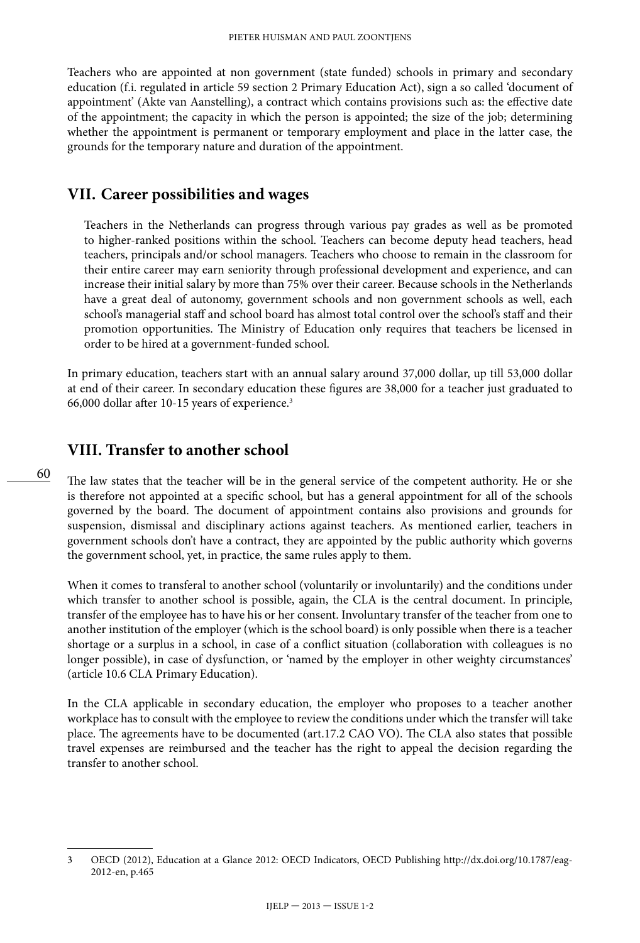Teachers who are appointed at non government (state funded) schools in primary and secondary education (f.i. regulated in article 59 section 2 Primary Education Act), sign a so called 'document of appointment' (Akte van Aanstelling), a contract which contains provisions such as: the effective date of the appointment; the capacity in which the person is appointed; the size of the job; determining whether the appointment is permanent or temporary employment and place in the latter case, the grounds for the temporary nature and duration of the appointment.

#### **VII. Career possibilities and wages**

Teachers in the Netherlands can progress through various pay grades as well as be promoted to higher-ranked positions within the school. Teachers can become deputy head teachers, head teachers, principals and/or school managers. Teachers who choose to remain in the classroom for their entire career may earn seniority through professional development and experience, and can increase their initial salary by more than 75% over their career. Because schools in the Netherlands have a great deal of autonomy, government schools and non government schools as well, each school's managerial staff and school board has almost total control over the school's staff and their promotion opportunities. The Ministry of Education only requires that teachers be licensed in order to be hired at a government-funded school.

In primary education, teachers start with an annual salary around 37,000 dollar, up till 53,000 dollar at end of their career. In secondary education these figures are 38,000 for a teacher just graduated to 66,000 dollar after 10-15 years of experience.3

## **VIII. Transfer to another school**

The law states that the teacher will be in the general service of the competent authority. He or she is therefore not appointed at a specific school, but has a general appointment for all of the schools governed by the board. The document of appointment contains also provisions and grounds for suspension, dismissal and disciplinary actions against teachers. As mentioned earlier, teachers in government schools don't have a contract, they are appointed by the public authority which governs the government school, yet, in practice, the same rules apply to them.

When it comes to transferal to another school (voluntarily or involuntarily) and the conditions under which transfer to another school is possible, again, the CLA is the central document. In principle, transfer of the employee has to have his or her consent. Involuntary transfer of the teacher from one to another institution of the employer (which is the school board) is only possible when there is a teacher shortage or a surplus in a school, in case of a conflict situation (collaboration with colleagues is no longer possible), in case of dysfunction, or 'named by the employer in other weighty circumstances' (article 10.6 CLA Primary Education).

In the CLA applicable in secondary education, the employer who proposes to a teacher another workplace has to consult with the employee to review the conditions under which the transfer will take place. The agreements have to be documented (art.17.2 CAO VO). The CLA also states that possible travel expenses are reimbursed and the teacher has the right to appeal the decision regarding the transfer to another school.

<sup>3</sup> OECD (2012), Education at a Glance 2012: OECD Indicators, OECD Publishing [http://dx.doi.org/10.1787/eag-](http://dx.doi.org/10.1787/eag-2012-en)[2012-en,](http://dx.doi.org/10.1787/eag-2012-en) p.465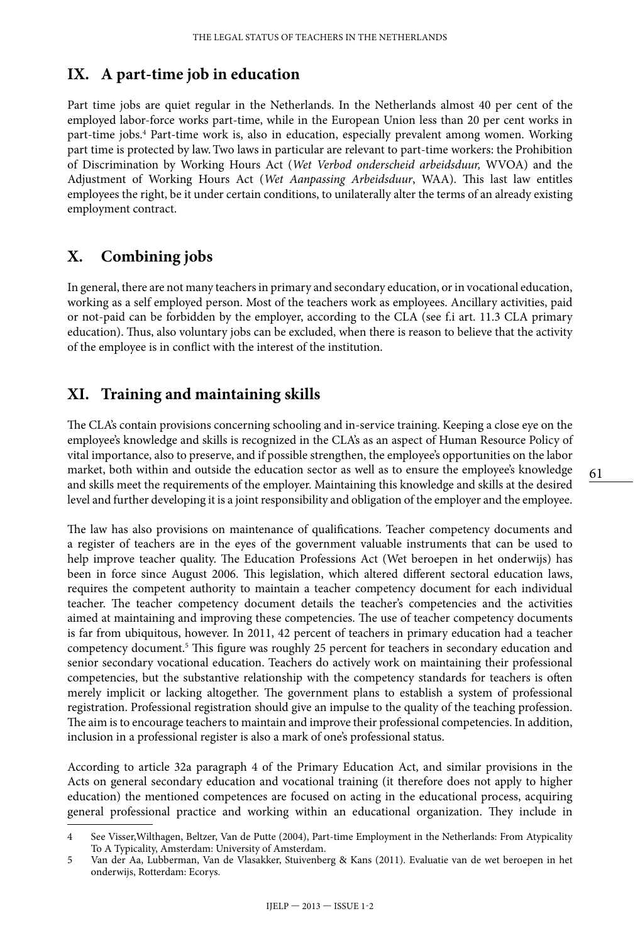## **IX. A part-time job in education**

Part time jobs are quiet regular in the Netherlands. In the Netherlands almost 40 per cent of the employed labor-force works part-time, while in the European Union less than 20 per cent works in part-time jobs.<sup>4</sup> Part-time work is, also in education, especially prevalent among women. Working part time is protected by law.Two laws in particular are relevant to part-time workers: the Prohibition of Discrimination by Working Hours Act (*Wet Verbod onderscheid arbeidsduur,* WVOA) and the Adjustment of Working Hours Act (*Wet Aanpassing Arbeidsduur*, WAA). This last law entitles employees the right, be it under certain conditions, to unilaterally alter the terms of an already existing employment contract.

# **X. Combining jobs**

In general, there are not many teachers in primary and secondary education, or in vocational education, working as a self employed person. Most of the teachers work as employees. Ancillary activities, paid or not-paid can be forbidden by the employer, according to the CLA (see f.i art. 11.3 CLA primary education). Thus, also voluntary jobs can be excluded, when there is reason to believe that the activity of the employee is in conflict with the interest of the institution.

# **XI. Training and maintaining skills**

The CLA's contain provisions concerning schooling and in-service training. Keeping a close eye on the employee's knowledge and skills is recognized in the CLA's as an aspect of Human Resource Policy of vital importance, also to preserve, and if possible strengthen, the employee's opportunities on the labor market, both within and outside the education sector as well as to ensure the employee's knowledge and skills meet the requirements of the employer. Maintaining this knowledge and skills at the desired level and further developing it is a joint responsibility and obligation of the employer and the employee.

The law has also provisions on maintenance of qualifications. Teacher competency documents and a register of teachers are in the eyes of the government valuable instruments that can be used to help improve teacher quality. The Education Professions Act (Wet beroepen in het onderwijs) has been in force since August 2006. This legislation, which altered different sectoral education laws, requires the competent authority to maintain a teacher competency document for each individual teacher. The teacher competency document details the teacher's competencies and the activities aimed at maintaining and improving these competencies. The use of teacher competency documents is far from ubiquitous, however. In 2011, 42 percent of teachers in primary education had a teacher competency document.<sup>5</sup> This figure was roughly 25 percent for teachers in secondary education and senior secondary vocational education. Teachers do actively work on maintaining their professional competencies, but the substantive relationship with the competency standards for teachers is often merely implicit or lacking altogether. The government plans to establish a system of professional registration. Professional registration should give an impulse to the quality of the teaching profession. The aim is to encourage teachers to maintain and improve their professional competencies. In addition, inclusion in a professional register is also a mark of one's professional status.

According to article 32a paragraph 4 of the Primary Education Act, and similar provisions in the Acts on general secondary education and vocational training (it therefore does not apply to higher education) the mentioned competences are focused on acting in the educational process, acquiring general professional practice and working within an educational organization. They include in

<sup>4</sup> See Visser,Wilthagen, Beltzer, Van de Putte (2004), Part-time Employment in the Netherlands: From Atypicality To A Typicality, Amsterdam: University of Amsterdam.

<sup>5</sup> Van der Aa, Lubberman, Van de Vlasakker, Stuivenberg & Kans (2011). Evaluatie van de wet beroepen in het onderwijs, Rotterdam: Ecorys.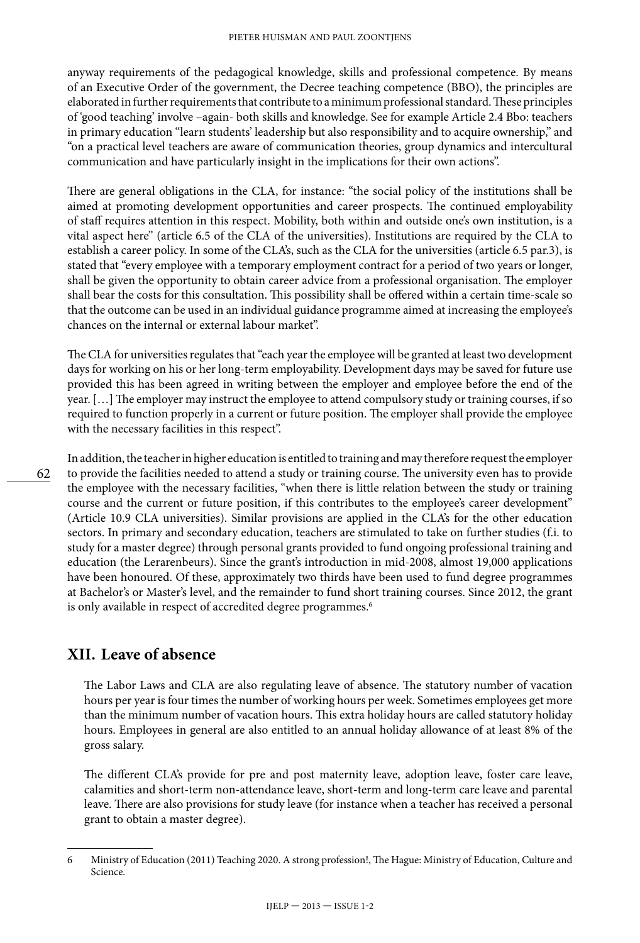anyway requirements of the pedagogical knowledge, skills and professional competence. By means of an Executive Order of the government, the Decree teaching competence (BBO), the principles are elaborated in further requirements that contribute to a minimum professional standard. These principles of 'good teaching' involve –again- both skills and knowledge. See for example Article 2.4 Bbo: teachers in primary education "learn students' leadership but also responsibility and to acquire ownership," and "on a practical level teachers are aware of communication theories, group dynamics and intercultural communication and have particularly insight in the implications for their own actions".

There are general obligations in the CLA, for instance: "the social policy of the institutions shall be aimed at promoting development opportunities and career prospects. The continued employability of staff requires attention in this respect. Mobility, both within and outside one's own institution, is a vital aspect here" (article 6.5 of the CLA of the universities). Institutions are required by the CLA to establish a career policy. In some of the CLA's, such as the CLA for the universities (article 6.5 par.3), is stated that "every employee with a temporary employment contract for a period of two years or longer, shall be given the opportunity to obtain career advice from a professional organisation. The employer shall bear the costs for this consultation. This possibility shall be offered within a certain time-scale so that the outcome can be used in an individual guidance programme aimed at increasing the employee's chances on the internal or external labour market".

The CLA for universities regulates that "each year the employee will be granted at least two development days for working on his or her long-term employability. Development days may be saved for future use provided this has been agreed in writing between the employer and employee before the end of the year. […] The employer may instruct the employee to attend compulsory study or training courses, if so required to function properly in a current or future position. The employer shall provide the employee with the necessary facilities in this respect".

In addition, the teacher in higher education is entitled to training and may therefore request the employer to provide the facilities needed to attend a study or training course. The university even has to provide the employee with the necessary facilities, "when there is little relation between the study or training course and the current or future position, if this contributes to the employee's career development" (Article 10.9 CLA universities). Similar provisions are applied in the CLA's for the other education sectors. In primary and secondary education, teachers are stimulated to take on further studies (f.i. to study for a master degree) through personal grants provided to fund ongoing professional training and education (the Lerarenbeurs). Since the grant's introduction in mid-2008, almost 19,000 applications have been honoured. Of these, approximately two thirds have been used to fund degree programmes at Bachelor's or Master's level, and the remainder to fund short training courses. Since 2012, the grant is only available in respect of accredited degree programmes.<sup>6</sup>

## **XII. Leave of absence**

The Labor Laws and CLA are also regulating leave of absence. The statutory number of vacation hours per year is four times the number of working hours per week. Sometimes employees get more than the minimum number of vacation hours. This extra holiday hours are called statutory holiday hours. Employees in general are also entitled to an annual holiday allowance of at least 8% of the gross salary.

The different CLA's provide for pre and post maternity leave, adoption leave, foster care leave, calamities and short-term non-attendance leave, short-term and long-term care leave and parental leave. There are also provisions for study leave (for instance when a teacher has received a personal grant to obtain a master degree).

<sup>6</sup> Ministry of Education (2011) Teaching 2020. A strong profession!, The Hague: Ministry of Education, Culture and Science.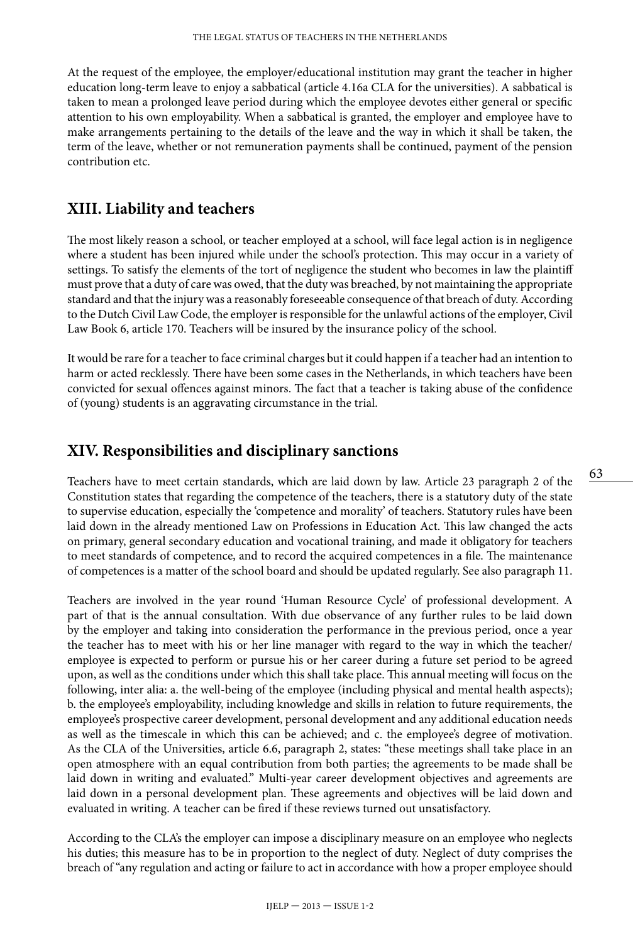At the request of the employee, the employer/educational institution may grant the teacher in higher education long-term leave to enjoy a sabbatical (article 4.16a CLA for the universities). A sabbatical is taken to mean a prolonged leave period during which the employee devotes either general or specific attention to his own employability. When a sabbatical is granted, the employer and employee have to make arrangements pertaining to the details of the leave and the way in which it shall be taken, the term of the leave, whether or not remuneration payments shall be continued, payment of the pension contribution etc.

#### **XIII. Liability and teachers**

The most likely reason a school, or teacher employed at a school, will face legal action is in negligence where a student has been injured while under the school's protection. This may occur in a variety of settings. To satisfy the elements of the tort of negligence the student who becomes in law the plaintiff must prove that a duty of care was owed, that the duty was breached, by not maintaining the appropriate standard and that the injury was a reasonably foreseeable consequence of that breach of duty. According to the Dutch Civil Law Code, the employer is responsible for the unlawful actions of the employer, Civil Law Book 6, article 170. Teachers will be insured by the insurance policy of the school.

It would be rare for a teacher to face criminal charges but it could happen if a teacher had an intention to harm or acted recklessly. There have been some cases in the Netherlands, in which teachers have been convicted for sexual offences against minors. The fact that a teacher is taking abuse of the confidence of (young) students is an aggravating circumstance in the trial.

#### **XIV. Responsibilities and disciplinary sanctions**

Teachers have to meet certain standards, which are laid down by law. Article 23 paragraph 2 of the Constitution states that regarding the competence of the teachers, there is a statutory duty of the state to supervise education, especially the 'competence and morality' of teachers. Statutory rules have been laid down in the already mentioned Law on Professions in Education Act. This law changed the acts on primary, general secondary education and vocational training, and made it obligatory for teachers to meet standards of competence, and to record the acquired competences in a file. The maintenance of competences is a matter of the school board and should be updated regularly. See also paragraph 11.

Teachers are involved in the year round 'Human Resource Cycle' of professional development. A part of that is the annual consultation. With due observance of any further rules to be laid down by the employer and taking into consideration the performance in the previous period, once a year the teacher has to meet with his or her line manager with regard to the way in which the teacher/ employee is expected to perform or pursue his or her career during a future set period to be agreed upon, as well as the conditions under which this shall take place. This annual meeting will focus on the following, inter alia: a. the well-being of the employee (including physical and mental health aspects); b. the employee's employability, including knowledge and skills in relation to future requirements, the employee's prospective career development, personal development and any additional education needs as well as the timescale in which this can be achieved; and c. the employee's degree of motivation. As the CLA of the Universities, article 6.6, paragraph 2, states: "these meetings shall take place in an open atmosphere with an equal contribution from both parties; the agreements to be made shall be laid down in writing and evaluated." Multi-year career development objectives and agreements are laid down in a personal development plan. These agreements and objectives will be laid down and evaluated in writing. A teacher can be fired if these reviews turned out unsatisfactory.

According to the CLA's the employer can impose a disciplinary measure on an employee who neglects his duties; this measure has to be in proportion to the neglect of duty. Neglect of duty comprises the breach of "any regulation and acting or failure to act in accordance with how a proper employee should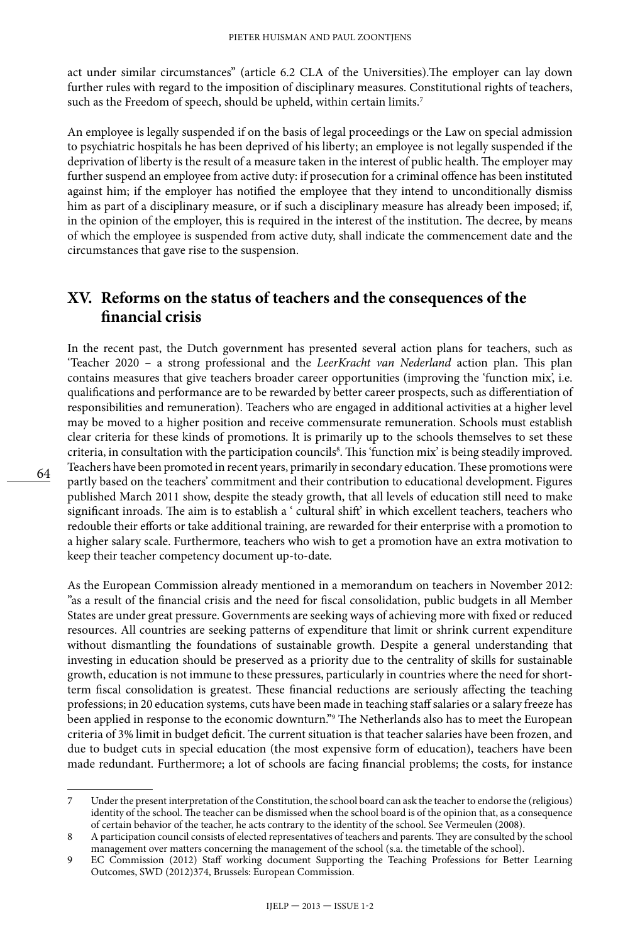act under similar circumstances" (article 6.2 CLA of the Universities).The employer can lay down further rules with regard to the imposition of disciplinary measures. Constitutional rights of teachers, such as the Freedom of speech, should be upheld, within certain limits.<sup>7</sup>

An employee is legally suspended if on the basis of legal proceedings or the Law on special admission to psychiatric hospitals he has been deprived of his liberty; an employee is not legally suspended if the deprivation of liberty is the result of a measure taken in the interest of public health. The employer may further suspend an employee from active duty: if prosecution for a criminal offence has been instituted against him; if the employer has notified the employee that they intend to unconditionally dismiss him as part of a disciplinary measure, or if such a disciplinary measure has already been imposed; if, in the opinion of the employer, this is required in the interest of the institution. The decree, by means of which the employee is suspended from active duty, shall indicate the commencement date and the circumstances that gave rise to the suspension.

## **XV. Reforms on the status of teachers and the consequences of the financial crisis**

In the recent past, the Dutch government has presented several action plans for teachers, such as 'Teacher 2020 – a strong professional and the *LeerKracht van Nederland* action plan. This plan contains measures that give teachers broader career opportunities (improving the 'function mix', i.e. qualifications and performance are to be rewarded by better career prospects, such as differentiation of responsibilities and remuneration). Teachers who are engaged in additional activities at a higher level may be moved to a higher position and receive commensurate remuneration. Schools must establish clear criteria for these kinds of promotions. It is primarily up to the schools themselves to set these criteria, in consultation with the participation councils<sup>8</sup>. This 'function mix' is being steadily improved. Teachers have been promoted in recent years, primarily in secondary education. These promotions were partly based on the teachers' commitment and their contribution to educational development. Figures published March 2011 show, despite the steady growth, that all levels of education still need to make significant inroads. The aim is to establish a ' cultural shift' in which excellent teachers, teachers who redouble their efforts or take additional training, are rewarded for their enterprise with a promotion to a higher salary scale. Furthermore, teachers who wish to get a promotion have an extra motivation to keep their teacher competency document up-to-date.

As the European Commission already mentioned in a memorandum on teachers in November 2012: "as a result of the financial crisis and the need for fiscal consolidation, public budgets in all Member States are under great pressure. Governments are seeking ways of achieving more with fixed or reduced resources. All countries are seeking patterns of expenditure that limit or shrink current expenditure without dismantling the foundations of sustainable growth. Despite a general understanding that investing in education should be preserved as a priority due to the centrality of skills for sustainable growth, education is not immune to these pressures, particularly in countries where the need for shortterm fiscal consolidation is greatest. These financial reductions are seriously affecting the teaching professions; in 20 education systems, cuts have been made in teaching staff salaries or a salary freeze has been applied in response to the economic downturn."9 The Netherlands also has to meet the European criteria of 3% limit in budget deficit. The current situation is that teacher salaries have been frozen, and due to budget cuts in special education (the most expensive form of education), teachers have been made redundant. Furthermore; a lot of schools are facing financial problems; the costs, for instance

<sup>7</sup> Under the present interpretation of the Constitution, the school board can ask the teacher to endorse the (religious) identity of the school. The teacher can be dismissed when the school board is of the opinion that, as a consequence of certain behavior of the teacher, he acts contrary to the identity of the school. See Vermeulen (2008).

<sup>8</sup> A participation council consists of elected representatives of teachers and parents. They are consulted by the school management over matters concerning the management of the school (s.a. the timetable of the school).

<sup>9</sup> EC Commission (2012) Staff working document Supporting the Teaching Professions for Better Learning Outcomes, SWD (2012)374, Brussels: European Commission.